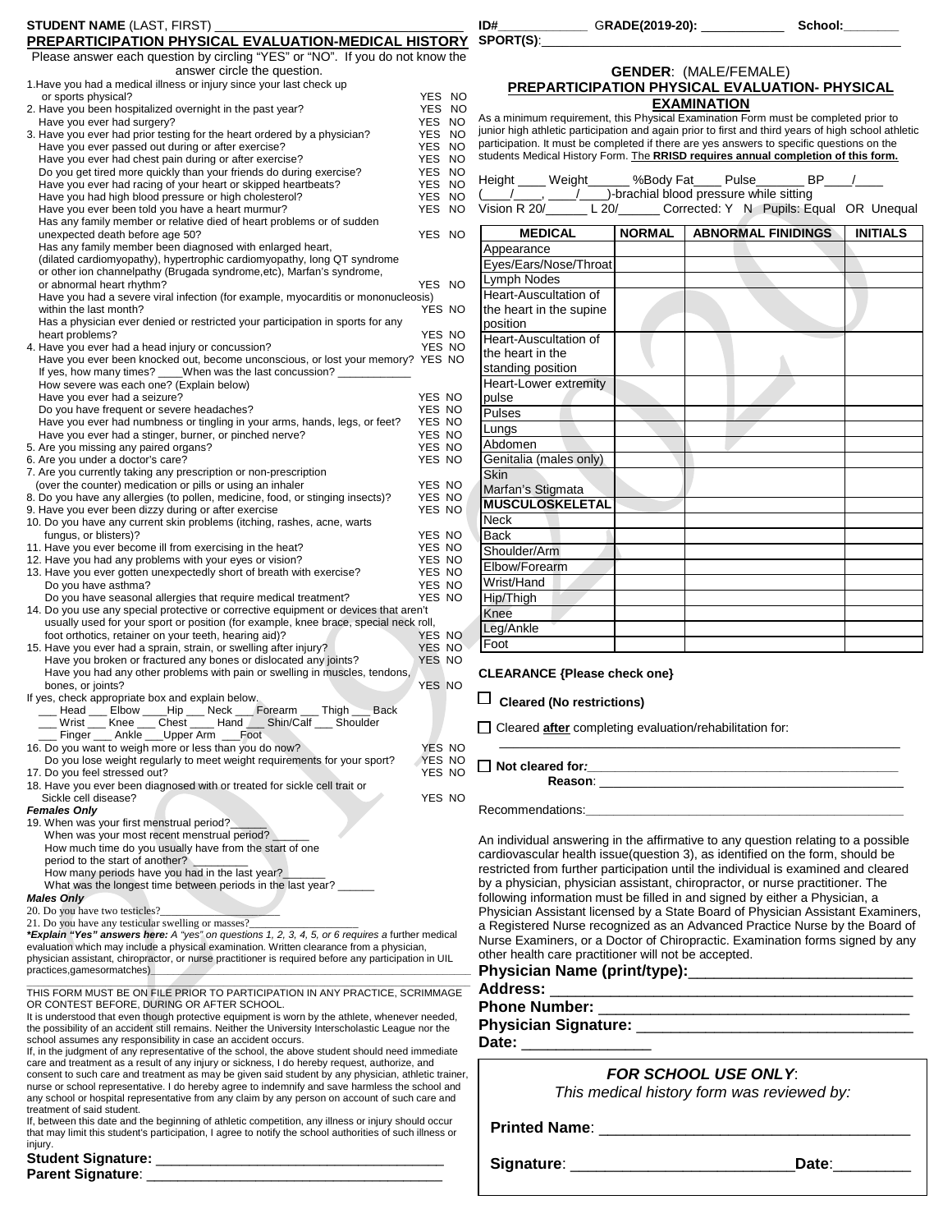| <b>STUDENT NAME (LAST, FIRST)</b>                                                                                                                                                                               |                  | ID#<br>SPORT(S):                                                                                                                                                                             |               | _________________GRADE(2019-20): ________________                                                              | School:_ |                 |
|-----------------------------------------------------------------------------------------------------------------------------------------------------------------------------------------------------------------|------------------|----------------------------------------------------------------------------------------------------------------------------------------------------------------------------------------------|---------------|----------------------------------------------------------------------------------------------------------------|----------|-----------------|
| PREPARTICIPATION PHYSICAL EVALUATION-MEDICAL HISTORY<br>Please answer each question by circling "YES" or "NO". If you do not know the                                                                           |                  |                                                                                                                                                                                              |               |                                                                                                                |          |                 |
| answer circle the question.                                                                                                                                                                                     |                  |                                                                                                                                                                                              |               | <b>GENDER: (MALE/FEMALE)</b>                                                                                   |          |                 |
| 1. Have you had a medical illness or injury since your last check up                                                                                                                                            |                  | PREPARTICIPATION PHYSICAL EVALUATION- PHYSICAL                                                                                                                                               |               |                                                                                                                |          |                 |
| or sports physical?<br>2. Have you been hospitalized overnight in the past year?                                                                                                                                | YES NO<br>YES NO |                                                                                                                                                                                              |               | <b>EXAMINATION</b>                                                                                             |          |                 |
| Have you ever had surgery?                                                                                                                                                                                      | YES NO           | As a minimum requirement, this Physical Examination Form must be completed prior to                                                                                                          |               |                                                                                                                |          |                 |
| 3. Have you ever had prior testing for the heart ordered by a physician?                                                                                                                                        | YES NO           | junior high athletic participation and again prior to first and third years of high school athl<br>participation. It must be completed if there are yes answers to specific questions on the |               |                                                                                                                |          |                 |
| Have you ever passed out during or after exercise?<br>Have you ever had chest pain during or after exercise?                                                                                                    | YES NO<br>YES NO | students Medical History Form. The RRISD requires annual completion of this form.                                                                                                            |               |                                                                                                                |          |                 |
| Do you get tired more quickly than your friends do during exercise?                                                                                                                                             | YES NO           |                                                                                                                                                                                              |               |                                                                                                                |          |                 |
| Have you ever had racing of your heart or skipped heartbeats?                                                                                                                                                   | YES NO           | Height ____ Weight ______ %Body Fat ____ Pulse ______ BP ___ /                                                                                                                               |               |                                                                                                                |          |                 |
| Have you had high blood pressure or high cholesterol?<br>Have you ever been told you have a heart murmur?                                                                                                       | YES NO<br>YES NO | (Comparison R 20/ Contract L 20/ Contract and Diood pressure while sitting<br>Vision R 20/ L 20/ Corrected: Y N Pupils: Equal OR Unequ                                                       |               |                                                                                                                |          |                 |
| Has any family member or relative died of heart problems or of sudden                                                                                                                                           |                  |                                                                                                                                                                                              |               |                                                                                                                |          |                 |
| unexpected death before age 50?                                                                                                                                                                                 | YES NO           | <b>MEDICAL</b>                                                                                                                                                                               | <b>NORMAL</b> | <b>ABNORMAL FINIDINGS</b>                                                                                      |          | <b>INITIALS</b> |
| Has any family member been diagnosed with enlarged heart,                                                                                                                                                       |                  | Appearance                                                                                                                                                                                   |               |                                                                                                                |          |                 |
| (dilated cardiomyopathy), hypertrophic cardiomyopathy, long QT syndrome<br>or other ion channelpathy (Brugada syndrome, etc), Marfan's syndrome,                                                                |                  | Eyes/Ears/Nose/Throat                                                                                                                                                                        |               |                                                                                                                |          |                 |
| or abnormal heart rhythm?                                                                                                                                                                                       | YES NO           | Lymph Nodes                                                                                                                                                                                  |               |                                                                                                                |          |                 |
| Have you had a severe viral infection (for example, myocarditis or mononucleosis)                                                                                                                               |                  | Heart-Auscultation of                                                                                                                                                                        |               |                                                                                                                |          |                 |
| within the last month?<br>Has a physician ever denied or restricted your participation in sports for any                                                                                                        | YES NO           | the heart in the supine<br>position                                                                                                                                                          |               |                                                                                                                |          |                 |
| heart problems?                                                                                                                                                                                                 | YES NO           | Heart-Auscultation of                                                                                                                                                                        |               |                                                                                                                |          |                 |
| 4. Have you ever had a head injury or concussion?                                                                                                                                                               | YES NO           | the heart in the                                                                                                                                                                             |               |                                                                                                                |          |                 |
| Have you ever been knocked out, become unconscious, or lost your memory? YES NO<br>If yes, how many times? When was the last concussion?                                                                        |                  | standing position                                                                                                                                                                            |               |                                                                                                                |          |                 |
| How severe was each one? (Explain below)                                                                                                                                                                        |                  | Heart-Lower extremity                                                                                                                                                                        |               |                                                                                                                |          |                 |
| Have you ever had a seizure?                                                                                                                                                                                    | YES NO           | pulse                                                                                                                                                                                        |               |                                                                                                                |          |                 |
| Do you have frequent or severe headaches?<br>Have you ever had numbness or tingling in your arms, hands, legs, or feet?                                                                                         | YES NO<br>YES NO | Pulses                                                                                                                                                                                       |               |                                                                                                                |          |                 |
| Have you ever had a stinger, burner, or pinched nerve?                                                                                                                                                          | YES NO           | Lungs                                                                                                                                                                                        |               |                                                                                                                |          |                 |
| 5. Are you missing any paired organs?                                                                                                                                                                           | YES NO           | Abdomen                                                                                                                                                                                      |               |                                                                                                                |          |                 |
| 6. Are you under a doctor's care?                                                                                                                                                                               | YES NO           | Genitalia (males only)                                                                                                                                                                       |               |                                                                                                                |          |                 |
| 7. Are you currently taking any prescription or non-prescription<br>(over the counter) medication or pills or using an inhaler                                                                                  | YES NO           | <b>Skin</b>                                                                                                                                                                                  |               |                                                                                                                |          |                 |
| 8. Do you have any allergies (to pollen, medicine, food, or stinging insects)?                                                                                                                                  | YES NO           | Marfan's Stigmata                                                                                                                                                                            |               |                                                                                                                |          |                 |
| 9. Have you ever been dizzy during or after exercise                                                                                                                                                            | YES NO           | <b>MUSCULOSKELETAL</b>                                                                                                                                                                       |               |                                                                                                                |          |                 |
| 10. Do you have any current skin problems (itching, rashes, acne, warts                                                                                                                                         |                  | Neck                                                                                                                                                                                         |               |                                                                                                                |          |                 |
| fungus, or blisters)?<br>11. Have you ever become ill from exercising in the heat?                                                                                                                              | YES NO<br>YES NO | <b>Back</b><br>Shoulder/Arm                                                                                                                                                                  |               |                                                                                                                |          |                 |
| 12. Have you had any problems with your eyes or vision?                                                                                                                                                         | YES NO           | Elbow/Forearm                                                                                                                                                                                |               |                                                                                                                |          |                 |
| 13. Have you ever gotten unexpectedly short of breath with exercise?                                                                                                                                            | YES NO           | Wrist/Hand                                                                                                                                                                                   |               |                                                                                                                |          |                 |
| Do you have asthma?<br>Do you have seasonal allergies that require medical treatment?                                                                                                                           | YES NO<br>YES NO | Hip/Thigh                                                                                                                                                                                    |               |                                                                                                                |          |                 |
| 14. Do you use any special protective or corrective equipment or devices that aren't                                                                                                                            |                  | Knee                                                                                                                                                                                         |               |                                                                                                                |          |                 |
| usually used for your sport or position (for example, knee brace, special neck roll,                                                                                                                            |                  | Leg/Ankle                                                                                                                                                                                    |               |                                                                                                                |          |                 |
| foot orthotics, retainer on your teeth, hearing aid)?                                                                                                                                                           | YES NO<br>YES NO | Foot                                                                                                                                                                                         |               |                                                                                                                |          |                 |
| 15. Have you ever had a sprain, strain, or swelling after injury?<br>Have you broken or fractured any bones or dislocated any joints?                                                                           | YES NO           |                                                                                                                                                                                              |               |                                                                                                                |          |                 |
| Have you had any other problems with pain or swelling in muscles, tendons,                                                                                                                                      |                  | <b>CLEARANCE {Please check one}</b>                                                                                                                                                          |               |                                                                                                                |          |                 |
| bones, or joints?                                                                                                                                                                                               | YES NO           |                                                                                                                                                                                              |               |                                                                                                                |          |                 |
| If yes, check appropriate box and explain below.<br>Lead LElbow ____Hip ___ Neck ___ Forearm ___ Thigh ___ Back                                                                                                 |                  | $\Box$ Cleared (No restrictions)                                                                                                                                                             |               |                                                                                                                |          |                 |
| Wrist __ Knee __ Chest __ Hand __ Shin/Calf __ Shoulder                                                                                                                                                         |                  | $\Box$ Cleared <b>after</b> completing evaluation/rehabilitation for:                                                                                                                        |               |                                                                                                                |          |                 |
| _ Finger ____ Ankle ___Upper Arm ___Foot                                                                                                                                                                        |                  |                                                                                                                                                                                              |               |                                                                                                                |          |                 |
| 16. Do you want to weigh more or less than you do now?<br>Do you lose weight regularly to meet weight requirements for your sport?                                                                              | YES NO<br>YES NO |                                                                                                                                                                                              |               |                                                                                                                |          |                 |
| 17. Do you feel stressed out?                                                                                                                                                                                   | YES NO           |                                                                                                                                                                                              |               |                                                                                                                |          |                 |
| 18. Have you ever been diagnosed with or treated for sickle cell trait or                                                                                                                                       |                  |                                                                                                                                                                                              |               | Reason: Network and the state of the state of the state of the state of the state of the state of the state of |          |                 |
| Sickle cell disease?<br><b>Females Only</b>                                                                                                                                                                     | YES NO           | Recommendations: Network and the state of the state of the state of the state of the state of the state of the                                                                               |               |                                                                                                                |          |                 |
| 19. When was your first menstrual period?                                                                                                                                                                       |                  |                                                                                                                                                                                              |               |                                                                                                                |          |                 |
| When was your most recent menstrual period?                                                                                                                                                                     |                  | An individual answering in the affirmative to any question relating to a possibl                                                                                                             |               |                                                                                                                |          |                 |
| How much time do you usually have from the start of one<br>period to the start of another?                                                                                                                      |                  | cardiovascular health issue(question 3), as identified on the form, should be                                                                                                                |               |                                                                                                                |          |                 |
| How many periods have you had in the last year?                                                                                                                                                                 |                  | restricted from further participation until the individual is examined and cleare                                                                                                            |               |                                                                                                                |          |                 |
| What was the longest time between periods in the last year?                                                                                                                                                     |                  | by a physician, physician assistant, chiropractor, or nurse practitioner. The                                                                                                                |               |                                                                                                                |          |                 |
| <b>Males Only</b>                                                                                                                                                                                               |                  | following information must be filled in and signed by either a Physician, a                                                                                                                  |               |                                                                                                                |          |                 |
| 20. Do you have two testicles?_<br>21. Do you have any testicular swelling or masses?                                                                                                                           |                  | Physician Assistant licensed by a State Board of Physician Assistant Examine                                                                                                                 |               |                                                                                                                |          |                 |
| *Explain "Yes" answers here: A "yes" on questions 1, 2, 3, 4, 5, or 6 requires a further medical                                                                                                                |                  | a Registered Nurse recognized as an Advanced Practice Nurse by the Board<br>Nurse Examiners, or a Doctor of Chiropractic. Examination forms signed by a                                      |               |                                                                                                                |          |                 |
| evaluation which may include a physical examination. Written clearance from a physician,<br>physician assistant, chiropractor, or nurse practitioner is required before any participation in UIL                |                  | other health care practitioner will not be accepted.                                                                                                                                         |               |                                                                                                                |          |                 |
| practices,gamesormatches)                                                                                                                                                                                       |                  |                                                                                                                                                                                              |               |                                                                                                                |          |                 |
|                                                                                                                                                                                                                 |                  |                                                                                                                                                                                              |               |                                                                                                                |          |                 |
| THIS FORM MUST BE ON FILE PRIOR TO PARTICIPATION IN ANY PRACTICE, SCRIMMAGE<br>OR CONTEST BEFORE, DURING OR AFTER SCHOOL.                                                                                       |                  |                                                                                                                                                                                              |               |                                                                                                                |          |                 |
| It is understood that even though protective equipment is worn by the athlete, whenever needed,                                                                                                                 |                  |                                                                                                                                                                                              |               |                                                                                                                |          |                 |
| the possibility of an accident still remains. Neither the University Interscholastic League nor the                                                                                                             |                  |                                                                                                                                                                                              |               |                                                                                                                |          |                 |
| school assumes any responsibility in case an accident occurs.<br>If, in the judgment of any representative of the school, the above student should need immediate                                               |                  | Date: ________________                                                                                                                                                                       |               |                                                                                                                |          |                 |
| care and treatment as a result of any injury or sickness, I do hereby request, authorize, and                                                                                                                   |                  |                                                                                                                                                                                              |               |                                                                                                                |          |                 |
| consent to such care and treatment as may be given said student by any physician, athletic trainer,<br>nurse or school representative. I do hereby agree to indemnify and save harmless the school and          |                  |                                                                                                                                                                                              |               | <b>FOR SCHOOL USE ONLY:</b>                                                                                    |          |                 |
| any school or hospital representative from any claim by any person on account of such care and                                                                                                                  |                  |                                                                                                                                                                                              |               | This medical history form was reviewed by:                                                                     |          |                 |
| treatment of said student.                                                                                                                                                                                      |                  |                                                                                                                                                                                              |               |                                                                                                                |          |                 |
| If, between this date and the beginning of athletic competition, any illness or injury should occur<br>that may limit this student's participation, I agree to notify the school authorities of such illness or |                  |                                                                                                                                                                                              |               |                                                                                                                |          |                 |
| injury.                                                                                                                                                                                                         |                  |                                                                                                                                                                                              |               |                                                                                                                |          |                 |

### Student Signature:

**Parent Signature**: \_\_\_\_\_\_\_\_\_\_\_\_\_\_\_\_\_\_\_\_\_\_\_\_\_\_\_\_\_\_\_\_\_\_\_\_\_\_

| ID#              | GRADE(2019-20): | School: |
|------------------|-----------------|---------|
| <b>SPORT(S):</b> |                 |         |

#### **GENDER**: (MALE/FEMALE) **PREPARTICIPATION PHYSICAL EVALUATION- PHYSICAL EXAMINATION**

| Height       | Weight     | %Body Fat Pulse                                           |                                         |  |
|--------------|------------|-----------------------------------------------------------|-----------------------------------------|--|
|              |            | $($ $/$ $)$ $($ $)$ brachial blood pressure while sitting |                                         |  |
| Vision R 20/ | $\sim$ 20/ |                                                           | Corrected: Y N Pupils: Equal OR Unequal |  |

| <b>MEDICAL</b>          | <b>NORMAL</b> | <b>ABNORMAL FINIDINGS</b> | <b>INITIALS</b> |
|-------------------------|---------------|---------------------------|-----------------|
| Appearance              |               |                           |                 |
| Eyes/Ears/Nose/Throat   |               |                           |                 |
| Lymph Nodes             |               |                           |                 |
| Heart-Auscultation of   |               |                           |                 |
| the heart in the supine |               |                           |                 |
| position                |               |                           |                 |
| Heart-Auscultation of   |               |                           |                 |
| the heart in the        |               |                           |                 |
| standing position       |               |                           |                 |
| Heart-Lower extremity   |               |                           |                 |
| pulse                   |               |                           |                 |
| Pulses                  |               |                           |                 |
| Lungs                   |               |                           |                 |
| Abdomen                 |               |                           |                 |
| Genitalia (males only)  |               |                           |                 |
| Skin                    |               |                           |                 |
| Marfan's Stigmata       |               |                           |                 |
| <b>MUSCULOSKELETAL</b>  |               |                           |                 |
| <b>Neck</b>             |               |                           |                 |
| <b>Back</b>             |               |                           |                 |
| Shoulder/Arm            |               |                           |                 |
| Elbow/Forearm           |               |                           |                 |
| Wrist/Hand              |               |                           |                 |
| Hip/Thigh               |               |                           |                 |
| Knee                    |               |                           |                 |
| Leg/Ankle               |               |                           |                 |
| Foot                    |               |                           |                 |

#### **CLEARANCE {Please check one}**

## **Physician Name (print/type):**\_\_\_\_\_\_\_\_\_\_\_\_\_\_\_\_\_\_\_\_\_\_\_\_\_\_

| $-$ . $-$ . $-$ . $-$ . $-$ . $-$ . $-$ . $-$ . $-$ . $-$ . $-$ . $-$ . $-$ . $-$ . $-$ . $-$ . $-$ . $-$ . $-$ . $-$ . $-$ . $-$ . $-$ . $-$ . $-$ . $-$ . $-$ . $-$ . $-$ . $-$ . $-$ . $-$ . $-$ . $-$ . $-$ . $-$ . $-$ . |
|-------------------------------------------------------------------------------------------------------------------------------------------------------------------------------------------------------------------------------|
| Address:                                                                                                                                                                                                                      |
| <b>Phone Number:</b>                                                                                                                                                                                                          |
| <b>Physician Signature:</b>                                                                                                                                                                                                   |
| Date:                                                                                                                                                                                                                         |

## *FOR SCHOOL USE ONLY*:

**Signature**: \_\_\_\_\_\_\_\_\_\_\_\_\_\_\_\_\_\_\_\_\_\_\_\_\_\_**Date**:\_\_\_\_\_\_\_\_\_